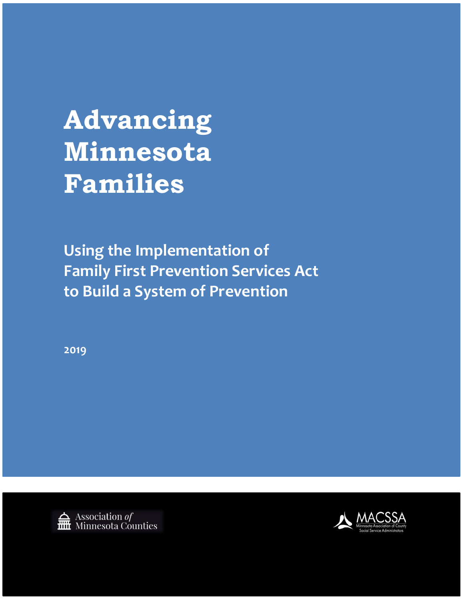**Advancing Minnesota Families**

**Using the Implementation of Family First Prevention Services Act to Build a System of Prevention**

**2019**



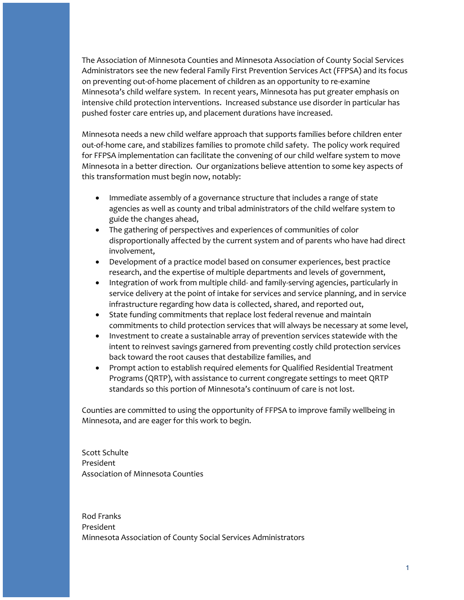The Association of Minnesota Counties and Minnesota Association of County Social Services Administrators see the new federal Family First Prevention Services Act (FFPSA) and its focus on preventing out-of-home placement of children as an opportunity to re-examine Minnesota's child welfare system. In recent years, Minnesota has put greater emphasis on intensive child protection interventions. Increased substance use disorder in particular has pushed foster care entries up, and placement durations have increased.

Minnesota needs a new child welfare approach that supports families before children enter out-of-home care, and stabilizes families to promote child safety. The policy work required for FFPSA implementation can facilitate the convening of our child welfare system to move Minnesota in a better direction. Our organizations believe attention to some key aspects of this transformation must begin now, notably:

- Immediate assembly of a governance structure that includes a range of state agencies as well as county and tribal administrators of the child welfare system to guide the changes ahead,
- The gathering of perspectives and experiences of communities of color disproportionally affected by the current system and of parents who have had direct involvement,
- Development of a practice model based on consumer experiences, best practice research, and the expertise of multiple departments and levels of government,
- Integration of work from multiple child- and family-serving agencies, particularly in service delivery at the point of intake for services and service planning, and in service infrastructure regarding how data is collected, shared, and reported out,
- State funding commitments that replace lost federal revenue and maintain commitments to child protection services that will always be necessary at some level,
- Investment to create a sustainable array of prevention services statewide with the intent to reinvest savings garnered from preventing costly child protection services back toward the root causes that destabilize families, and
- Prompt action to establish required elements for Qualified Residential Treatment Programs (QRTP), with assistance to current congregate settings to meet QRTP standards so this portion of Minnesota's continuum of care is not lost.

Counties are committed to using the opportunity of FFPSA to improve family wellbeing in Minnesota, and are eager for this work to begin.

Scott Schulte President Association of Minnesota Counties

Rod Franks President Minnesota Association of County Social Services Administrators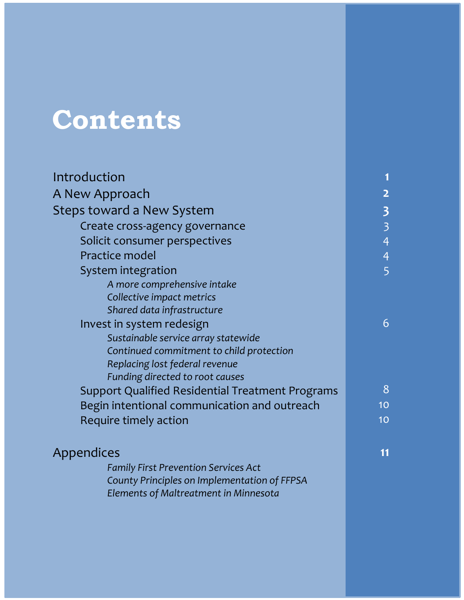# **Contents**

| Introduction                                            |                         |
|---------------------------------------------------------|-------------------------|
| A New Approach                                          | $\overline{2}$          |
| Steps toward a New System                               | $\overline{\mathbf{3}}$ |
| Create cross-agency governance                          | $\overline{\mathbf{3}}$ |
| Solicit consumer perspectives                           | $\overline{4}$          |
| Practice model                                          | $\overline{4}$          |
| System integration                                      | 5                       |
| A more comprehensive intake                             |                         |
| Collective impact metrics                               |                         |
| Shared data infrastructure                              |                         |
| Invest in system redesign                               | 6                       |
| Sustainable service array statewide                     |                         |
| Continued commitment to child protection                |                         |
| Replacing lost federal revenue                          |                         |
| Funding directed to root causes                         |                         |
| <b>Support Qualified Residential Treatment Programs</b> | 8                       |
| Begin intentional communication and outreach            | 10                      |
| Require timely action                                   | 10                      |
| <b>Appendices</b>                                       | 11                      |
| <b>Family First Prevention Services Act</b>             |                         |
| County Principles on Implementation of FFPSA            |                         |
| Elements of Maltreatment in Minnesota                   |                         |
|                                                         |                         |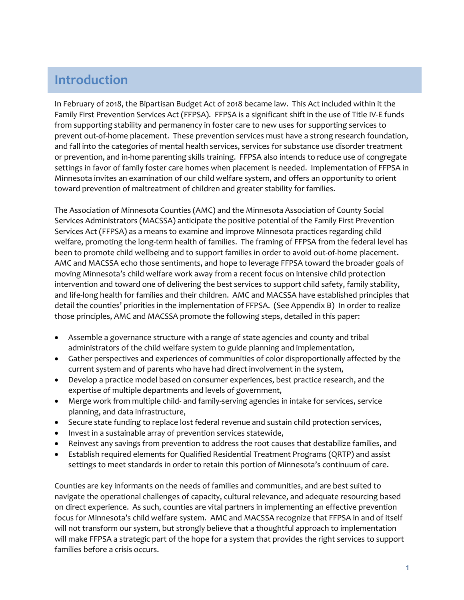# **Introduction**

In February of 2018, the Bipartisan Budget Act of 2018 became law. This Act included within it the Family First Prevention Services Act (FFPSA). FFPSA is a significant shift in the use of Title IV-E funds from supporting stability and permanency in foster care to new uses for supporting services to prevent out-of-home placement. These prevention services must have a strong research foundation, and fall into the categories of mental health services, services for substance use disorder treatment or prevention, and in-home parenting skills training. FFPSA also intends to reduce use of congregate settings in favor of family foster care homes when placement is needed. Implementation of FFPSA in Minnesota invites an examination of our child welfare system, and offers an opportunity to orient toward prevention of maltreatment of children and greater stability for families.

The Association of Minnesota Counties (AMC) and the Minnesota Association of County Social Services Administrators (MACSSA) anticipate the positive potential of the Family First Prevention Services Act (FFPSA) as a means to examine and improve Minnesota practices regarding child welfare, promoting the long-term health of families. The framing of FFPSA from the federal level has been to promote child wellbeing and to support families in order to avoid out-of-home placement. AMC and MACSSA echo those sentiments, and hope to leverage FFPSA toward the broader goals of moving Minnesota's child welfare work away from a recent focus on intensive child protection intervention and toward one of delivering the best services to support child safety, family stability, and life-long health for families and their children. AMC and MACSSA have established principles that detail the counties' priorities in the implementation of FFPSA. (See Appendix B) In order to realize those principles, AMC and MACSSA promote the following steps, detailed in this paper:

- Assemble a governance structure with a range of state agencies and county and tribal administrators of the child welfare system to guide planning and implementation,
- Gather perspectives and experiences of communities of color disproportionally affected by the current system and of parents who have had direct involvement in the system,
- Develop a practice model based on consumer experiences, best practice research, and the expertise of multiple departments and levels of government,
- Merge work from multiple child- and family-serving agencies in intake for services, service planning, and data infrastructure,
- Secure state funding to replace lost federal revenue and sustain child protection services,
- Invest in a sustainable array of prevention services statewide,
- Reinvest any savings from prevention to address the root causes that destabilize families, and
- Establish required elements for Qualified Residential Treatment Programs (QRTP) and assist settings to meet standards in order to retain this portion of Minnesota's continuum of care.

Counties are key informants on the needs of families and communities, and are best suited to navigate the operational challenges of capacity, cultural relevance, and adequate resourcing based on direct experience. As such, counties are vital partners in implementing an effective prevention focus for Minnesota's child welfare system. AMC and MACSSA recognize that FFPSA in and of itself will not transform our system, but strongly believe that a thoughtful approach to implementation will make FFPSA a strategic part of the hope for a system that provides the right services to support families before a crisis occurs.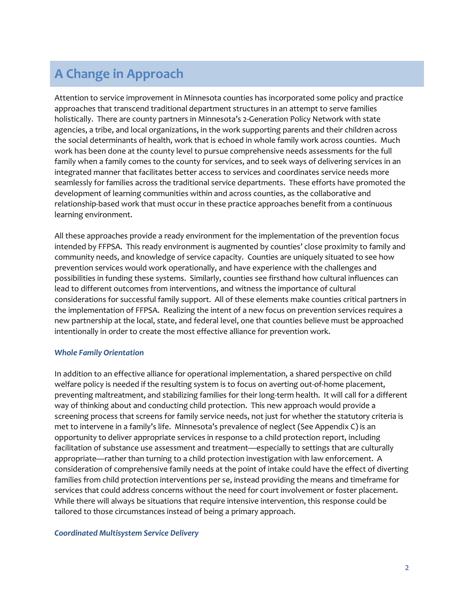# **A Change in Approach**

Attention to service improvement in Minnesota counties has incorporated some policy and practice approaches that transcend traditional department structures in an attempt to serve families holistically. There are county partners in Minnesota's 2-Generation Policy Network with state agencies, a tribe, and local organizations, in the work supporting parents and their children across the social determinants of health, work that is echoed in whole family work across counties. Much work has been done at the county level to pursue comprehensive needs assessments for the full family when a family comes to the county for services, and to seek ways of delivering services in an integrated manner that facilitates better access to services and coordinates service needs more seamlessly for families across the traditional service departments. These efforts have promoted the development of learning communities within and across counties, as the collaborative and relationship-based work that must occur in these practice approaches benefit from a continuous learning environment.

All these approaches provide a ready environment for the implementation of the prevention focus intended by FFPSA. This ready environment is augmented by counties' close proximity to family and community needs, and knowledge of service capacity. Counties are uniquely situated to see how prevention services would work operationally, and have experience with the challenges and possibilities in funding these systems. Similarly, counties see firsthand how cultural influences can lead to different outcomes from interventions, and witness the importance of cultural considerations for successful family support. All of these elements make counties critical partners in the implementation of FFPSA. Realizing the intent of a new focus on prevention services requires a new partnership at the local, state, and federal level, one that counties believe must be approached intentionally in order to create the most effective alliance for prevention work.

#### *Whole Family Orientation*

In addition to an effective alliance for operational implementation, a shared perspective on child welfare policy is needed if the resulting system is to focus on averting out-of-home placement, preventing maltreatment, and stabilizing families for their long-term health. It will call for a different way of thinking about and conducting child protection. This new approach would provide a screening process that screens for family service needs, not just for whether the statutory criteria is met to intervene in a family's life. Minnesota's prevalence of neglect (See Appendix C) is an opportunity to deliver appropriate services in response to a child protection report, including facilitation of substance use assessment and treatment—especially to settings that are culturally appropriate—rather than turning to a child protection investigation with law enforcement. A consideration of comprehensive family needs at the point of intake could have the effect of diverting families from child protection interventions per se, instead providing the means and timeframe for services that could address concerns without the need for court involvement or foster placement. While there will always be situations that require intensive intervention, this response could be tailored to those circumstances instead of being a primary approach.

#### *Coordinated Multisystem Service Delivery*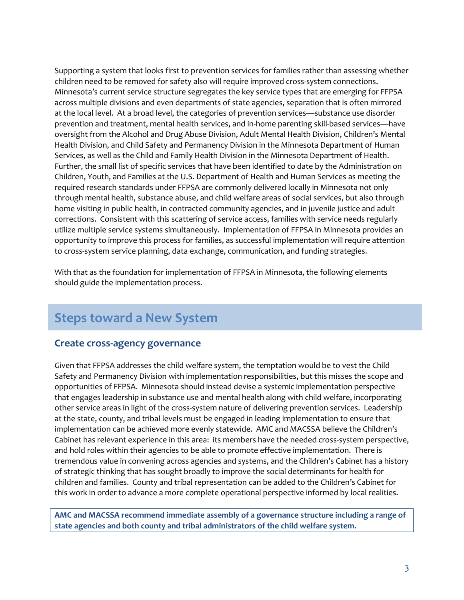Supporting a system that looks first to prevention services for families rather than assessing whether children need to be removed for safety also will require improved cross-system connections. Minnesota's current service structure segregates the key service types that are emerging for FFPSA across multiple divisions and even departments of state agencies, separation that is often mirrored at the local level. At a broad level, the categories of prevention services—substance use disorder prevention and treatment, mental health services, and in-home parenting skill-based services—have oversight from the Alcohol and Drug Abuse Division, Adult Mental Health Division, Children's Mental Health Division, and Child Safety and Permanency Division in the Minnesota Department of Human Services, as well as the Child and Family Health Division in the Minnesota Department of Health. Further, the small list of specific services that have been identified to date by the Administration on Children, Youth, and Families at the U.S. Department of Health and Human Services as meeting the required research standards under FFPSA are commonly delivered locally in Minnesota not only through mental health, substance abuse, and child welfare areas of social services, but also through home visiting in public health, in contracted community agencies, and in juvenile justice and adult corrections. Consistent with this scattering of service access, families with service needs regularly utilize multiple service systems simultaneously. Implementation of FFPSA in Minnesota provides an opportunity to improve this process for families, as successful implementation will require attention to cross-system service planning, data exchange, communication, and funding strategies.

With that as the foundation for implementation of FFPSA in Minnesota, the following elements should guide the implementation process.

# **Steps toward a New System**

# **Create cross-agency governance**

Given that FFPSA addresses the child welfare system, the temptation would be to vest the Child Safety and Permanency Division with implementation responsibilities, but this misses the scope and opportunities of FFPSA. Minnesota should instead devise a systemic implementation perspective that engages leadership in substance use and mental health along with child welfare, incorporating other service areas in light of the cross-system nature of delivering prevention services. Leadership at the state, county, and tribal levels must be engaged in leading implementation to ensure that implementation can be achieved more evenly statewide. AMC and MACSSA believe the Children's Cabinet has relevant experience in this area: its members have the needed cross-system perspective, and hold roles within their agencies to be able to promote effective implementation. There is tremendous value in convening across agencies and systems, and the Children's Cabinet has a history of strategic thinking that has sought broadly to improve the social determinants for health for children and families. County and tribal representation can be added to the Children's Cabinet for this work in order to advance a more complete operational perspective informed by local realities.

**AMC and MACSSA recommend immediate assembly of a governance structure including a range of state agencies and both county and tribal administrators of the child welfare system.**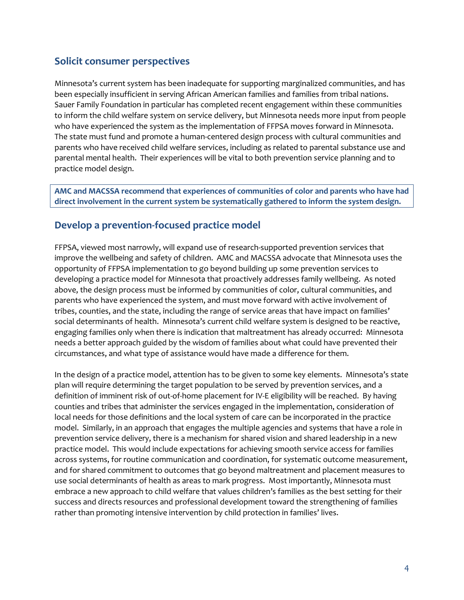# **Solicit consumer perspectives**

Minnesota's current system has been inadequate for supporting marginalized communities, and has been especially insufficient in serving African American families and families from tribal nations. Sauer Family Foundation in particular has completed recent engagement within these communities to inform the child welfare system on service delivery, but Minnesota needs more input from people who have experienced the system as the implementation of FFPSA moves forward in Minnesota. The state must fund and promote a human-centered design process with cultural communities and parents who have received child welfare services, including as related to parental substance use and parental mental health. Their experiences will be vital to both prevention service planning and to practice model design.

**AMC and MACSSA recommend that experiences of communities of color and parents who have had direct involvement in the current system be systematically gathered to inform the system design.**

# **Develop a prevention-focused practice model**

FFPSA, viewed most narrowly, will expand use of research-supported prevention services that improve the wellbeing and safety of children. AMC and MACSSA advocate that Minnesota uses the opportunity of FFPSA implementation to go beyond building up some prevention services to developing a practice model for Minnesota that proactively addresses family wellbeing. As noted above, the design process must be informed by communities of color, cultural communities, and parents who have experienced the system, and must move forward with active involvement of tribes, counties, and the state, including the range of service areas that have impact on families' social determinants of health. Minnesota's current child welfare system is designed to be reactive, engaging families only when there is indication that maltreatment has already occurred: Minnesota needs a better approach guided by the wisdom of families about what could have prevented their circumstances, and what type of assistance would have made a difference for them.

In the design of a practice model, attention has to be given to some key elements. Minnesota's state plan will require determining the target population to be served by prevention services, and a definition of imminent risk of out-of-home placement for IV-E eligibility will be reached. By having counties and tribes that administer the services engaged in the implementation, consideration of local needs for those definitions and the local system of care can be incorporated in the practice model. Similarly, in an approach that engages the multiple agencies and systems that have a role in prevention service delivery, there is a mechanism for shared vision and shared leadership in a new practice model. This would include expectations for achieving smooth service access for families across systems, for routine communication and coordination, for systematic outcome measurement, and for shared commitment to outcomes that go beyond maltreatment and placement measures to use social determinants of health as areas to mark progress. Most importantly, Minnesota must embrace a new approach to child welfare that values children's families as the best setting for their success and directs resources and professional development toward the strengthening of families rather than promoting intensive intervention by child protection in families' lives.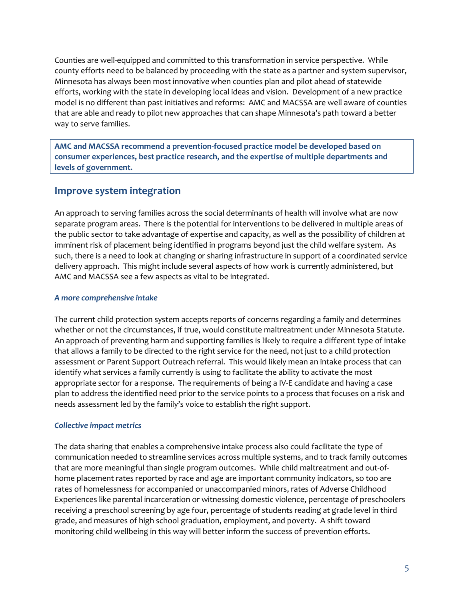Counties are well-equipped and committed to this transformation in service perspective. While county efforts need to be balanced by proceeding with the state as a partner and system supervisor, Minnesota has always been most innovative when counties plan and pilot ahead of statewide efforts, working with the state in developing local ideas and vision. Development of a new practice model is no different than past initiatives and reforms: AMC and MACSSA are well aware of counties that are able and ready to pilot new approaches that can shape Minnesota's path toward a better way to serve families.

**AMC and MACSSA recommend a prevention-focused practice model be developed based on consumer experiences, best practice research, and the expertise of multiple departments and levels of government.**

# **Improve system integration**

An approach to serving families across the social determinants of health will involve what are now separate program areas. There is the potential for interventions to be delivered in multiple areas of the public sector to take advantage of expertise and capacity, as well as the possibility of children at imminent risk of placement being identified in programs beyond just the child welfare system. As such, there is a need to look at changing or sharing infrastructure in support of a coordinated service delivery approach. This might include several aspects of how work is currently administered, but AMC and MACSSA see a few aspects as vital to be integrated.

#### *A more comprehensive intake*

The current child protection system accepts reports of concerns regarding a family and determines whether or not the circumstances, if true, would constitute maltreatment under Minnesota Statute. An approach of preventing harm and supporting families is likely to require a different type of intake that allows a family to be directed to the right service for the need, not just to a child protection assessment or Parent Support Outreach referral. This would likely mean an intake process that can identify what services a family currently is using to facilitate the ability to activate the most appropriate sector for a response. The requirements of being a IV-E candidate and having a case plan to address the identified need prior to the service points to a process that focuses on a risk and needs assessment led by the family's voice to establish the right support.

#### *Collective impact metrics*

The data sharing that enables a comprehensive intake process also could facilitate the type of communication needed to streamline services across multiple systems, and to track family outcomes that are more meaningful than single program outcomes. While child maltreatment and out-ofhome placement rates reported by race and age are important community indicators, so too are rates of homelessness for accompanied or unaccompanied minors, rates of Adverse Childhood Experiences like parental incarceration or witnessing domestic violence, percentage of preschoolers receiving a preschool screening by age four, percentage of students reading at grade level in third grade, and measures of high school graduation, employment, and poverty. A shift toward monitoring child wellbeing in this way will better inform the success of prevention efforts.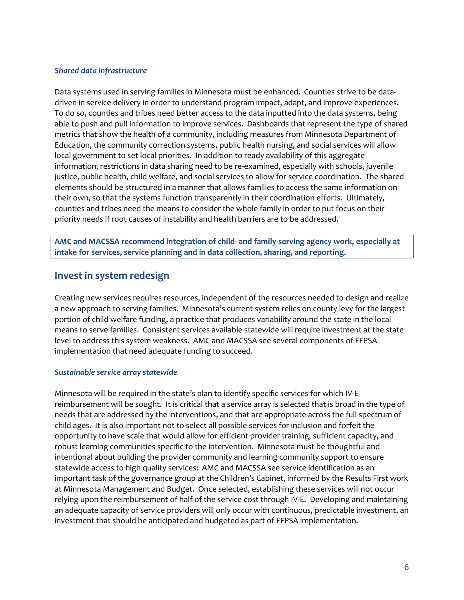#### *Shared data infrastructure*

Data systems used in serving families in Minnesota must be enhanced. Counties strive to be datadriven in service delivery in order to understand program impact, adapt, and improve experiences. To do so, counties and tribes need better access to the data inputted into the data systems, being able to push and pull information to improve services. Dashboards that represent the type of shared metrics that show the health of a community, including measures from Minnesota Department of Education, the community correction systems, public health nursing, and social services will allow local government to set local priorities. In addition to ready availability of this aggregate information, restrictions in data sharing need to be re-examined, especially with schools, juvenile justice, public health, child welfare, and social services to allow for service coordination. The shared elements should be structured in a manner that allows families to access the same information on their own, so that the systems function transparently in their coordination efforts. Ultimately, counties and tribes need the means to consider the whole family in order to put focus on their priority needs if root causes of instability and health barriers are to be addressed.

**AMC and MACSSA recommend integration of child- and family-serving agency work, especially at intake for services, service planning and in data collection, sharing, and reporting.**

# **Invest in system redesign**

Creating new services requires resources, independent of the resources needed to design and realize a new approach to serving families. Minnesota's current system relies on county levy for the largest portion of child welfare funding, a practice that produces variability around the state in the local means to serve families. Consistent services available statewide will require investment at the state level to address this system weakness. AMC and MACSSA see several components of FFPSA implementation that need adequate funding to succeed.

#### *Sustainable service array statewide*

Minnesota will be required in the state's plan to identify specific services for which IV-E reimbursement will be sought. It is critical that a service array is selected that is broad in the type of needs that are addressed by the interventions, and that are appropriate across the full spectrum of child ages. It is also important not to select all possible services for inclusion and forfeit the opportunity to have scale that would allow for efficient provider training, sufficient capacity, and robust learning communities specific to the intervention. Minnesota must be thoughtful and intentional about building the provider community and learning community support to ensure statewide access to high quality services: AMC and MACSSA see service identification as an important task of the governance group at the Children's Cabinet, informed by the Results First work at Minnesota Management and Budget. Once selected, establishing these services will not occur relying upon the reimbursement of half of the service cost through IV-E. Developing and maintaining an adequate capacity of service providers will only occur with continuous, predictable investment, an investment that should be anticipated and budgeted as part of FFPSA implementation.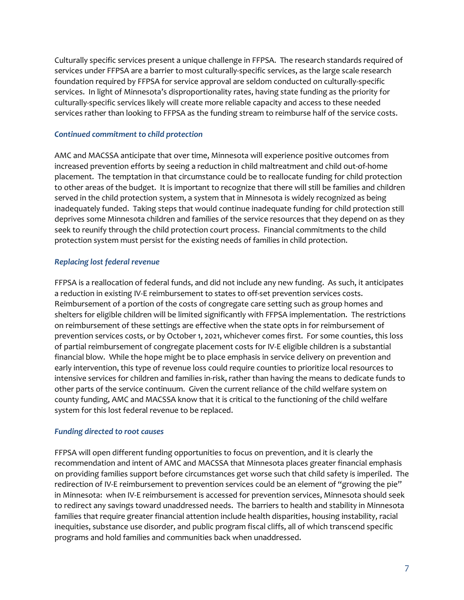Culturally specific services present a unique challenge in FFPSA. The research standards required of services under FFPSA are a barrier to most culturally-specific services, as the large scale research foundation required by FFPSA for service approval are seldom conducted on culturally-specific services. In light of Minnesota's disproportionality rates, having state funding as the priority for culturally-specific services likely will create more reliable capacity and access to these needed services rather than looking to FFPSA as the funding stream to reimburse half of the service costs.

#### *Continued commitment to child protection*

AMC and MACSSA anticipate that over time, Minnesota will experience positive outcomes from increased prevention efforts by seeing a reduction in child maltreatment and child out-of-home placement. The temptation in that circumstance could be to reallocate funding for child protection to other areas of the budget. It is important to recognize that there will still be families and children served in the child protection system, a system that in Minnesota is widely recognized as being inadequately funded. Taking steps that would continue inadequate funding for child protection still deprives some Minnesota children and families of the service resources that they depend on as they seek to reunify through the child protection court process. Financial commitments to the child protection system must persist for the existing needs of families in child protection.

#### *Replacing lost federal revenue*

FFPSA is a reallocation of federal funds, and did not include any new funding. As such, it anticipates a reduction in existing IV-E reimbursement to states to off-set prevention services costs. Reimbursement of a portion of the costs of congregate care setting such as group homes and shelters for eligible children will be limited significantly with FFPSA implementation. The restrictions on reimbursement of these settings are effective when the state opts in for reimbursement of prevention services costs, or by October 1, 2021, whichever comes first. For some counties, this loss of partial reimbursement of congregate placement costs for IV-E eligible children is a substantial financial blow. While the hope might be to place emphasis in service delivery on prevention and early intervention, this type of revenue loss could require counties to prioritize local resources to intensive services for children and families in-risk, rather than having the means to dedicate funds to other parts of the service continuum. Given the current reliance of the child welfare system on county funding, AMC and MACSSA know that it is critical to the functioning of the child welfare system for this lost federal revenue to be replaced.

#### *Funding directed to root causes*

FFPSA will open different funding opportunities to focus on prevention, and it is clearly the recommendation and intent of AMC and MACSSA that Minnesota places greater financial emphasis on providing families support before circumstances get worse such that child safety is imperiled. The redirection of IV-E reimbursement to prevention services could be an element of "growing the pie" in Minnesota: when IV-E reimbursement is accessed for prevention services, Minnesota should seek to redirect any savings toward unaddressed needs. The barriers to health and stability in Minnesota families that require greater financial attention include health disparities, housing instability, racial inequities, substance use disorder, and public program fiscal cliffs, all of which transcend specific programs and hold families and communities back when unaddressed.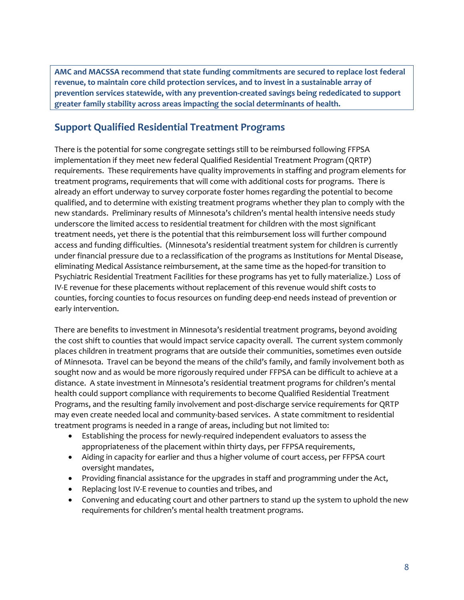**AMC and MACSSA recommend that state funding commitments are secured to replace lost federal revenue, to maintain core child protection services, and to invest in a sustainable array of prevention services statewide, with any prevention-created savings being rededicated to support greater family stability across areas impacting the social determinants of health.**

# **Support Qualified Residential Treatment Programs**

There is the potential for some congregate settings still to be reimbursed following FFPSA implementation if they meet new federal Qualified Residential Treatment Program (QRTP) requirements. These requirements have quality improvements in staffing and program elements for treatment programs, requirements that will come with additional costs for programs. There is already an effort underway to survey corporate foster homes regarding the potential to become qualified, and to determine with existing treatment programs whether they plan to comply with the new standards. Preliminary results of Minnesota's children's mental health intensive needs study underscore the limited access to residential treatment for children with the most significant treatment needs, yet there is the potential that this reimbursement loss will further compound access and funding difficulties. (Minnesota's residential treatment system for children is currently under financial pressure due to a reclassification of the programs as Institutions for Mental Disease, eliminating Medical Assistance reimbursement, at the same time as the hoped-for transition to Psychiatric Residential Treatment Facilities for these programs has yet to fully materialize.) Loss of IV-E revenue for these placements without replacement of this revenue would shift costs to counties, forcing counties to focus resources on funding deep-end needs instead of prevention or early intervention.

There are benefits to investment in Minnesota's residential treatment programs, beyond avoiding the cost shift to counties that would impact service capacity overall. The current system commonly places children in treatment programs that are outside their communities, sometimes even outside of Minnesota. Travel can be beyond the means of the child's family, and family involvement both as sought now and as would be more rigorously required under FFPSA can be difficult to achieve at a distance. A state investment in Minnesota's residential treatment programs for children's mental health could support compliance with requirements to become Qualified Residential Treatment Programs, and the resulting family involvement and post-discharge service requirements for QRTP may even create needed local and community-based services. A state commitment to residential treatment programs is needed in a range of areas, including but not limited to:

- Establishing the process for newly-required independent evaluators to assess the appropriateness of the placement within thirty days, per FFPSA requirements,
- Aiding in capacity for earlier and thus a higher volume of court access, per FFPSA court oversight mandates,
- Providing financial assistance for the upgrades in staff and programming under the Act,
- Replacing lost IV-E revenue to counties and tribes, and
- Convening and educating court and other partners to stand up the system to uphold the new requirements for children's mental health treatment programs.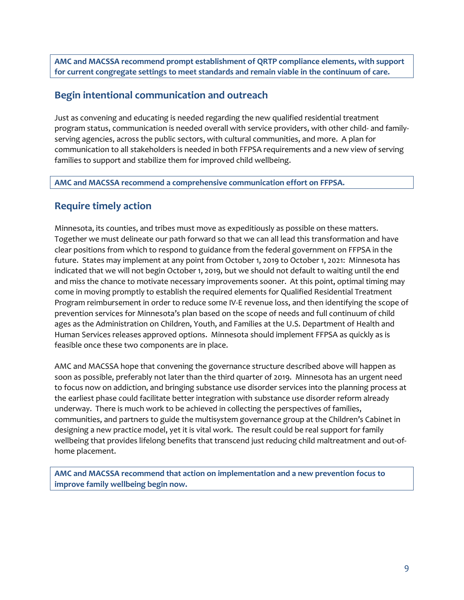**AMC and MACSSA recommend prompt establishment of QRTP compliance elements, with support for current congregate settings to meet standards and remain viable in the continuum of care.**

## **Begin intentional communication and outreach**

Just as convening and educating is needed regarding the new qualified residential treatment program status, communication is needed overall with service providers, with other child- and familyserving agencies, across the public sectors, with cultural communities, and more. A plan for communication to all stakeholders is needed in both FFPSA requirements and a new view of serving families to support and stabilize them for improved child wellbeing.

**AMC and MACSSA recommend a comprehensive communication effort on FFPSA.**

# **Require timely action**

Minnesota, its counties, and tribes must move as expeditiously as possible on these matters. Together we must delineate our path forward so that we can all lead this transformation and have clear positions from which to respond to guidance from the federal government on FFPSA in the future. States may implement at any point from October 1, 2019 to October 1, 2021: Minnesota has indicated that we will not begin October 1, 2019, but we should not default to waiting until the end and miss the chance to motivate necessary improvements sooner. At this point, optimal timing may come in moving promptly to establish the required elements for Qualified Residential Treatment Program reimbursement in order to reduce some IV-E revenue loss, and then identifying the scope of prevention services for Minnesota's plan based on the scope of needs and full continuum of child ages as the Administration on Children, Youth, and Families at the U.S. Department of Health and Human Services releases approved options. Minnesota should implement FFPSA as quickly as is feasible once these two components are in place.

AMC and MACSSA hope that convening the governance structure described above will happen as soon as possible, preferably not later than the third quarter of 2019. Minnesota has an urgent need to focus now on addiction, and bringing substance use disorder services into the planning process at the earliest phase could facilitate better integration with substance use disorder reform already underway. There is much work to be achieved in collecting the perspectives of families, communities, and partners to guide the multisystem governance group at the Children's Cabinet in designing a new practice model, yet it is vital work. The result could be real support for family wellbeing that provides lifelong benefits that transcend just reducing child maltreatment and out-ofhome placement.

**AMC and MACSSA recommend that action on implementation and a new prevention focus to improve family wellbeing begin now.**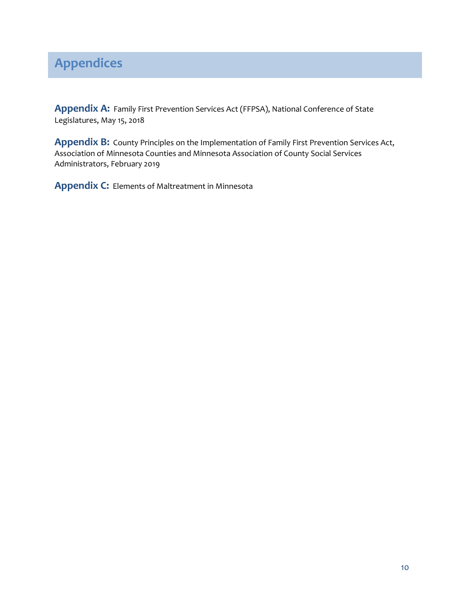# **Appendices**

**Appendix A:** Family First Prevention Services Act (FFPSA), National Conference of State Legislatures, May 15, 2018

**Appendix B:** County Principles on the Implementation of Family First Prevention Services Act, Association of Minnesota Counties and Minnesota Association of County Social Services Administrators, February 2019

**Appendix C:** Elements of Maltreatment in Minnesota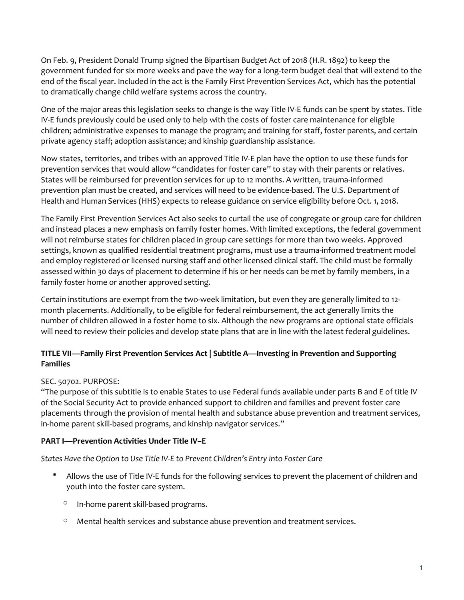On Feb. 9, President Donald Trump signed th[e Bipartisan Budget Act of 2018 \(H.R. 1892\)](https://www.congress.gov/bill/115th-congress/house-bill/1892/text) to keep the government funded for six more weeks and pave the way for a long-term budget deal that will extend to the end of the fiscal year. Included in the act is the Family First Prevention Services Act, which has the potential to dramatically change child welfare systems across the country.

One of the major areas this legislation seeks to change is the way Title IV-E funds can be spent by states. Title IV-E funds previously could be used only to help with the costs of foster care maintenance for eligible children; administrative expenses to manage the program; and training for staff, foster parents, and certain private agency staff; adoption assistance; and kinship guardianship assistance.

Now states, territories, and tribes with an approved Title IV-E plan have the option to use these funds for prevention services that would allow "candidates for foster care" to stay with their parents or relatives. States will be reimbursed for prevention services for up to 12 months. A written, trauma-informed prevention plan must be created, and services will need to be evidence-based. The U.S. Department of Health and Human Services (HHS) expects to release guidance on service eligibility before Oct. 1, 2018.

The Family First Prevention Services Act also seeks to curtail the use of congregate or group care for children and instead places a new emphasis on family foster homes. With limited exceptions, the federal government will not reimburse states for children placed in group care settings for more than two weeks. Approved settings, known as qualified residential treatment programs, must use a trauma-informed treatment model and employ registered or licensed nursing staff and other licensed clinical staff. The child must be formally assessed within 30 days of placement to determine if his or her needs can be met by family members, in a family foster home or another approved setting.

Certain institutions are exempt from the two-week limitation, but even they are generally limited to 12 month placements. Additionally, to be eligible for federal reimbursement, the act generally limits the number of children allowed in a foster home to six. Although the new programs are optional state officials will need to review their policies and develop state plans that are in line with the latest federal guidelines.

### **TITLE VII—Family First Prevention Services Act | Subtitle A—Investing in Prevention and Supporting Families**

## SEC. 50702. PURPOSE:

"The purpose of this subtitle is to enable States to use Federal funds available under parts B and E of title IV of the Social Security Act to provide enhanced support to children and families and prevent foster care placements through the provision of mental health and substance abuse prevention and treatment services, in-home parent skill-based programs, and kinship navigator services."

## **PART I—Prevention Activities Under Title IV–E**

*States Have the Option to Use Title IV-E to Prevent Children's Entry into Foster Care*

- Allows the use of Title IV-E funds for the following services to prevent the placement of children and youth into the foster care system.
	- o In-home parent skill-based programs.
	- $\circ$  Mental health services and substance abuse prevention and treatment services.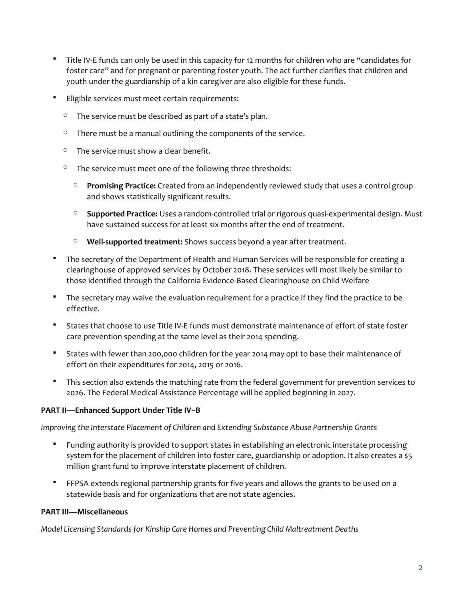- Title IV-E funds can only be used in this capacity for 12 months for children who are "candidates for foster care" and for pregnant or parenting foster youth. The act further clarifies that children and youth under the guardianship of a kin caregiver are also eligible for these funds.
- Eligible services must meet certain requirements:
	- $\degree$  The service must be described as part of a state's plan.
	- $\degree$  There must be a manual outlining the components of the service.
	- $\circ$  The service must show a clear benefit.
	- $\degree$  The service must meet one of the following three thresholds:
		- o **Promising Practice:** Created from an independently reviewed study that uses a control group and shows statistically significant results.
		- o **Supported Practice:** Uses a random-controlled trial or rigorous quasi-experimental design. Must have sustained success for at least six months after the end of treatment.
		- o **Well-supported treatment:** Shows success beyond a year after treatment.
- The secretary of the Department of Health and Human Services will be responsible for creating a clearinghouse of approved services by October 2018. These services will most likely be similar to those identified through the California Evidence-Based Clearinghouse on Child Welfare
- " The secretary may waive the evaluation requirement for a practice if they find the practice to be effective.
- States that choose to use Title IV-E funds must demonstrate maintenance of effort of state foster care prevention spending at the same level as their 2014 spending.
- States with fewer than 200,000 children for the year 2014 may opt to base their maintenance of effort on their expenditures for 2014, 2015 or 2016.
- " This section also extends the matching rate from the federal government for prevention services to 2026. The Federal Medical Assistance Percentage will be applied beginning in 2027.

#### **PART II—Enhanced Support Under Title IV–B**

*Improving the Interstate Placement of Children and Extending Substance Abuse Partnership Grants*

- Funding authority is provided to support states in establishing an electronic interstate processing system for the placement of children into foster care, guardianship or adoption. It also creates a \$5 million grant fund to improve interstate placement of children.
- FFPSA extends regional partnership grants for five years and allows the grants to be used on a statewide basis and for organizations that are not state agencies.

#### **PART III—Miscellaneous**

*Model Licensing Standards for Kinship Care Homes and Preventing Child Maltreatment Deaths*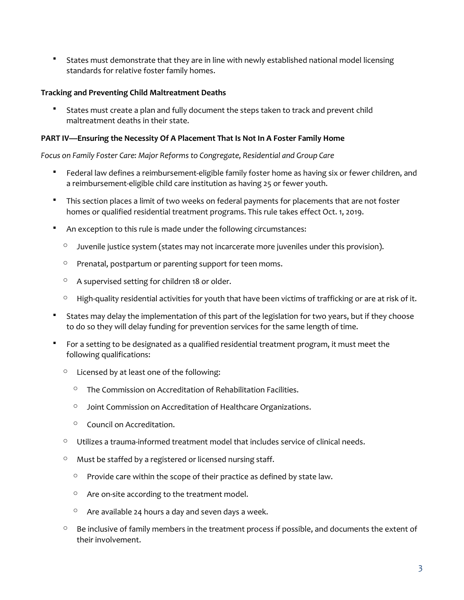**States must demonstrate that they are in line with newly established national model licensing** standards for relative foster family homes.

#### **Tracking and Preventing Child Maltreatment Deaths**

 States must create a plan and fully document the steps taken to track and prevent child maltreatment deaths in their state.

#### **PART IV—Ensuring the Necessity Of A Placement That Is Not In A Foster Family Home**

*Focus on Family Foster Care: Major Reforms to Congregate, Residential and Group Care*

- Federal law defines a reimbursement-eligible family foster home as having six or fewer children, and a reimbursement-eligible child care institution as having 25 or fewer youth.
- " This section places a limit of two weeks on federal payments for placements that are not foster homes or qualified residential treatment programs. This rule takes effect Oct. 1, 2019.
- An exception to this rule is made under the following circumstances:
	- $\circ$  Juvenile justice system (states may not incarcerate more juveniles under this provision).
	- o Prenatal, postpartum or parenting support for teen moms.
	- o A supervised setting for children 18 or older.
	- $\circ$  High-quality residential activities for youth that have been victims of trafficking or are at risk of it.
- States may delay the implementation of this part of the legislation for two years, but if they choose to do so they will delay funding for prevention services for the same length of time.
- For a setting to be designated as a qualified residential treatment program, it must meet the following qualifications:
	- $\circ$  Licensed by at least one of the following:
		- o The Commission on Accreditation of Rehabilitation Facilities.
		- o Joint Commission on Accreditation of Healthcare Organizations.
		- o Council on Accreditation.
	- $\circ$  Utilizes a trauma-informed treatment model that includes service of clinical needs.
	- $\degree$  Must be staffed by a registered or licensed nursing staff.
		- $\degree$  Provide care within the scope of their practice as defined by state law.
		- o Are on-site according to the treatment model.
		- $\circ$  Are available 24 hours a day and seven days a week.
	- $\circ$  Be inclusive of family members in the treatment process if possible, and documents the extent of their involvement.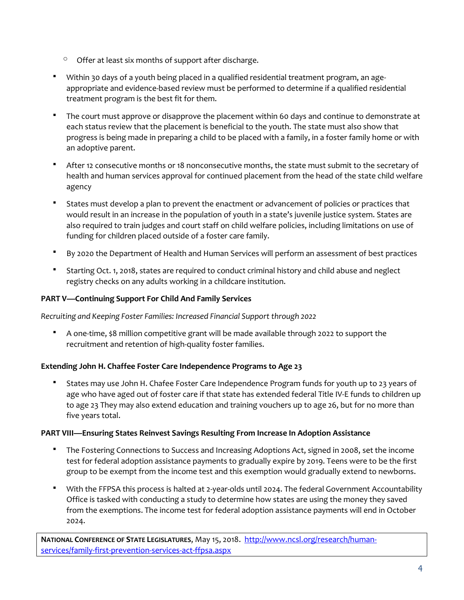- $\circ$  Offer at least six months of support after discharge.
- Within 30 days of a youth being placed in a qualified residential treatment program, an ageappropriate and evidence-based review must be performed to determine if a qualified residential treatment program is the best fit for them.
- The court must approve or disapprove the placement within 60 days and continue to demonstrate at each status review that the placement is beneficial to the youth. The state must also show that progress is being made in preparing a child to be placed with a family, in a foster family home or with an adoptive parent.
- After 12 consecutive months or 18 nonconsecutive months, the state must submit to the secretary of health and human services approval for continued placement from the head of the state child welfare agency
- States must develop a plan to prevent the enactment or advancement of policies or practices that would result in an increase in the population of youth in a state's juvenile justice system. States are also required to train judges and court staff on child welfare policies, including limitations on use of funding for children placed outside of a foster care family.
- By 2020 the Department of Health and Human Services will perform an assessment of best practices
- Starting Oct. 1, 2018, states are required to conduct criminal history and child abuse and neglect registry checks on any adults working in a childcare institution.

# **PART V—Continuing Support For Child And Family Services**

*Recruiting and Keeping Foster Families: Increased Financial Support through 2022*

 A one-time, \$8 million competitive grant will be made available through 2022 to support the recruitment and retention of high-quality foster families.

## **Extending John H. Chaffee Foster Care Independence Programs to Age 23**

 States may use John H. Chafee Foster Care Independence Program funds for youth up to 23 years of age who have aged out of foster care if that state has extended federal Title IV-E funds to children up to age 23 They may also extend education and training vouchers up to age 26, but for no more than five years total.

## **PART VIII—Ensuring States Reinvest Savings Resulting From Increase In Adoption Assistance**

- " The Fostering Connections to Success and Increasing Adoptions Act, signed in 2008, set the income test for federal adoption assistance payments to gradually expire by 2019. Teens were to be the first group to be exempt from the income test and this exemption would gradually extend to newborns.
- With the FFPSA this process is halted at 2-year-olds until 2024. The federal Government Accountability Office is tasked with conducting a study to determine how states are using the money they saved from the exemptions. The income test for federal adoption assistance payments will end in October 2024.

**NATIONAL CONFERENCE OF STATE LEGISLATURES**, May 15, 2018. [http://www.ncsl.org/research/human](http://www.ncsl.org/research/human-services/family-first-prevention-services-act-ffpsa.aspx)[services/family-first-prevention-services-act-ffpsa.aspx](http://www.ncsl.org/research/human-services/family-first-prevention-services-act-ffpsa.aspx)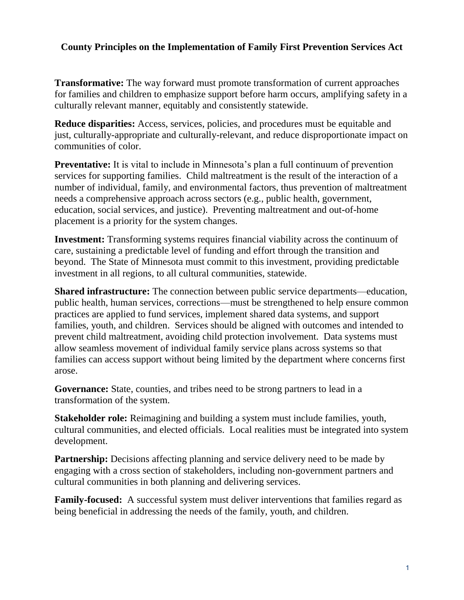# **County Principles on the Implementation of Family First Prevention Services Act**

**Transformative:** The way forward must promote transformation of current approaches for families and children to emphasize support before harm occurs, amplifying safety in a culturally relevant manner, equitably and consistently statewide.

**Reduce disparities:** Access, services, policies, and procedures must be equitable and just, culturally-appropriate and culturally-relevant, and reduce disproportionate impact on communities of color.

**Preventative:** It is vital to include in Minnesota's plan a full continuum of prevention services for supporting families. Child maltreatment is the result of the interaction of a number of individual, family, and environmental factors, thus prevention of maltreatment needs a comprehensive approach across sectors (e.g., public health, government, education, social services, and justice). Preventing maltreatment and out-of-home placement is a priority for the system changes.

**Investment:** Transforming systems requires financial viability across the continuum of care, sustaining a predictable level of funding and effort through the transition and beyond. The State of Minnesota must commit to this investment, providing predictable investment in all regions, to all cultural communities, statewide.

**Shared infrastructure:** The connection between public service departments—education, public health, human services, corrections—must be strengthened to help ensure common practices are applied to fund services, implement shared data systems, and support families, youth, and children. Services should be aligned with outcomes and intended to prevent child maltreatment, avoiding child protection involvement. Data systems must allow seamless movement of individual family service plans across systems so that families can access support without being limited by the department where concerns first arose.

Governance: State, counties, and tribes need to be strong partners to lead in a transformation of the system.

**Stakeholder role:** Reimagining and building a system must include families, youth, cultural communities, and elected officials. Local realities must be integrated into system development.

**Partnership:** Decisions affecting planning and service delivery need to be made by engaging with a cross section of stakeholders, including non-government partners and cultural communities in both planning and delivering services.

**Family-focused:** A successful system must deliver interventions that families regard as being beneficial in addressing the needs of the family, youth, and children.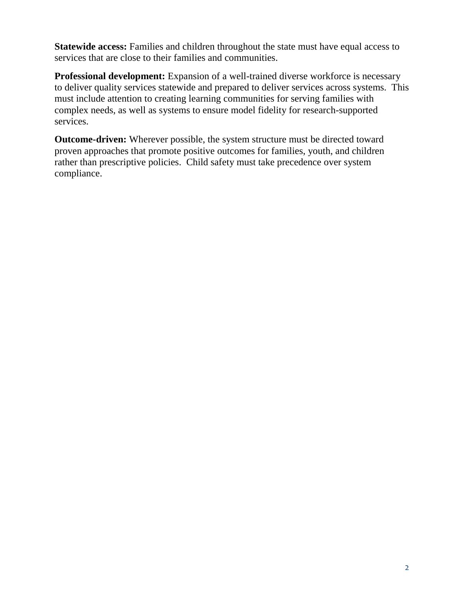**Statewide access:** Families and children throughout the state must have equal access to services that are close to their families and communities.

**Professional development:** Expansion of a well-trained diverse workforce is necessary to deliver quality services statewide and prepared to deliver services across systems. This must include attention to creating learning communities for serving families with complex needs, as well as systems to ensure model fidelity for research-supported services.

**Outcome-driven:** Wherever possible, the system structure must be directed toward proven approaches that promote positive outcomes for families, youth, and children rather than prescriptive policies. Child safety must take precedence over system compliance.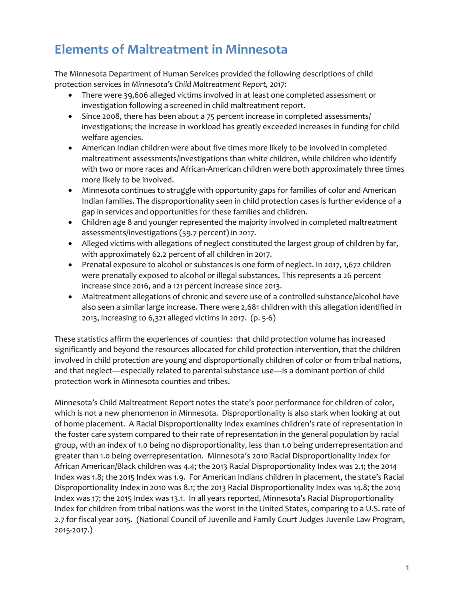# **Elements of Maltreatment in Minnesota**

The Minnesota Department of Human Services provided the following descriptions of child protection services in *Minnesota's Child Maltreatment Report, 2017*:

- There were 39,606 alleged victims involved in at least one completed assessment or investigation following a screened in child maltreatment report.
- Since 2008, there has been about a 75 percent increase in completed assessments/ investigations; the increase in workload has greatly exceeded increases in funding for child welfare agencies.
- American Indian children were about five times more likely to be involved in completed maltreatment assessments/investigations than white children, while children who identify with two or more races and African-American children were both approximately three times more likely to be involved.
- Minnesota continues to struggle with opportunity gaps for families of color and American Indian families. The disproportionality seen in child protection cases is further evidence of a gap in services and opportunities for these families and children.
- Children age 8 and younger represented the majority involved in completed maltreatment assessments/investigations (59.7 percent) in 2017.
- Alleged victims with allegations of neglect constituted the largest group of children by far, with approximately 62.2 percent of all children in 2017.
- Prenatal exposure to alcohol or substances is one form of neglect. In 2017, 1,672 children were prenatally exposed to alcohol or illegal substances. This represents a 26 percent increase since 2016, and a 121 percent increase since 2013.
- Maltreatment allegations of chronic and severe use of a controlled substance/alcohol have also seen a similar large increase. There were 2,681 children with this allegation identified in 2013, increasing to 6,321 alleged victims in 2017. (p. 5-6)

These statistics affirm the experiences of counties: that child protection volume has increased significantly and beyond the resources allocated for child protection intervention, that the children involved in child protection are young and disproportionally children of color or from tribal nations, and that neglect—especially related to parental substance use—is a dominant portion of child protection work in Minnesota counties and tribes.

Minnesota's Child Maltreatment Report notes the state's poor performance for children of color, which is not a new phenomenon in Minnesota. Disproportionality is also stark when looking at out of home placement. A Racial Disproportionality Index examines children's rate of representation in the foster care system compared to their rate of representation in the general population by racial group, with an index of 1.0 being no disproportionality, less than 1.0 being underrepresentation and greater than 1.0 being overrepresentation. Minnesota's 2010 Racial Disproportionality Index for African American/Black children was 4.4; the 2013 Racial Disproportionality Index was 2.1; the 2014 Index was 1.8; the 2015 Index was 1.9. For American Indians children in placement, the state's Racial Disproportionality Index in 2010 was 8.1; the 2013 Racial Disproportionality Index was 14.8; the 2014 Index was 17; the 2015 Index was 13.1. In all years reported, Minnesota's Racial Disproportionality Index for children from tribal nations was the worst in the United States, comparing to a U.S. rate of 2.7 for fiscal year 2015. (National Council of Juvenile and Family Court Judges Juvenile Law Program, 2015-2017.)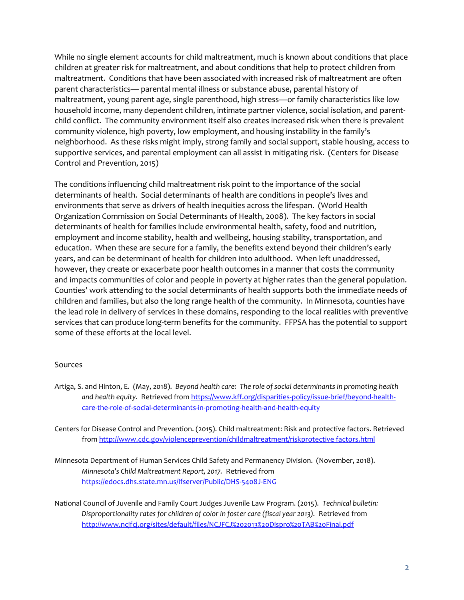While no single element accounts for child maltreatment, much is known about conditions that place children at greater risk for maltreatment, and about conditions that help to protect children from maltreatment. Conditions that have been associated with increased risk of maltreatment are often parent characteristics— parental mental illness or substance abuse, parental history of maltreatment, young parent age, single parenthood, high stress—or family characteristics like low household income, many dependent children, intimate partner violence, social isolation, and parentchild conflict. The community environment itself also creates increased risk when there is prevalent community violence, high poverty, low employment, and housing instability in the family's neighborhood. As these risks might imply, strong family and social support, stable housing, access to supportive services, and parental employment can all assist in mitigating risk. (Centers for Disease Control and Prevention, 2015)

The conditions influencing child maltreatment risk point to the importance of the social determinants of health. Social determinants of health are conditions in people's lives and environments that serve as drivers of health inequities across the lifespan. (World Health Organization Commission on Social Determinants of Health, 2008). The key factors in social determinants of health for families include environmental health, safety, food and nutrition, employment and income stability, health and wellbeing, housing stability, transportation, and education. When these are secure for a family, the benefits extend beyond their children's early years, and can be determinant of health for children into adulthood. When left unaddressed, however, they create or exacerbate poor health outcomes in a manner that costs the community and impacts communities of color and people in poverty at higher rates than the general population. Counties' work attending to the social determinants of health supports both the immediate needs of children and families, but also the long range health of the community. In Minnesota, counties have the lead role in delivery of services in these domains, responding to the local realities with preventive services that can produce long-term benefits for the community. FFPSA has the potential to support some of these efforts at the local level.

#### Sources

Artiga, S. and Hinton, E. (May, 2018). *Beyond health care: The role of social determinants in promoting health and health equity.* Retrieved fro[m https://www.kff.org/disparities-policy/issue-brief/beyond-health](https://www.kff.org/disparities-policy/issue-brief/beyond-health-care-the-role-of-social-determinants-in-promoting-health-and-health-equity)[care-the-role-of-social-determinants-in-promoting-health-and-health-equity](https://www.kff.org/disparities-policy/issue-brief/beyond-health-care-the-role-of-social-determinants-in-promoting-health-and-health-equity)

Centers for Disease Control and Prevention. (2015). Child maltreatment: Risk and protective factors. Retrieved from [http://www.cdc.gov/violenceprevention/childmaltreatment/riskprotective factors.html](http://www.cdc.gov/violenceprevention/childmaltreatment/riskprotective%20factors.html)

Minnesota Department of Human Services Child Safety and Permanency Division. (November, 2018). *Minnesota's Child Maltreatment Report, 2017.* Retrieved from <https://edocs.dhs.state.mn.us/lfserver/Public/DHS-5408J-ENG>

National Council of Juvenile and Family Court Judges Juvenile Law Program. (2015). *Technical bulletin: Disproportionality rates for children of color in foster care (fiscal year 2013).* Retrieved from <http://www.ncjfcj.org/sites/default/files/NCJFCJ%202013%20Dispro%20TAB%20Final.pdf>